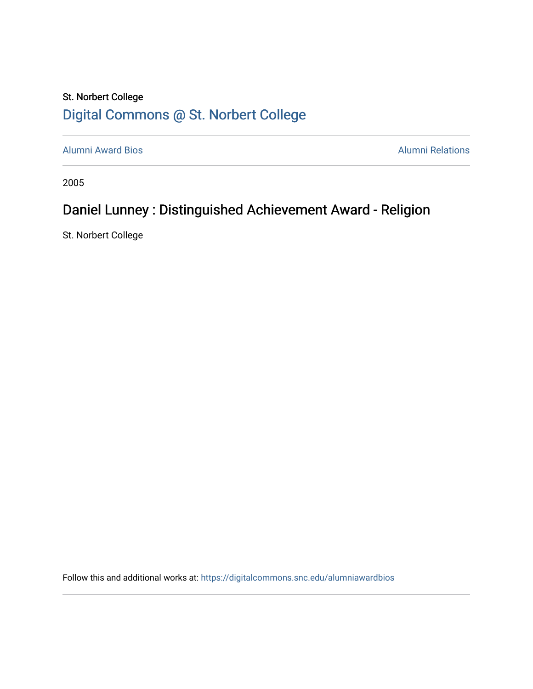## St. Norbert College [Digital Commons @ St. Norbert College](https://digitalcommons.snc.edu/)

[Alumni Award Bios](https://digitalcommons.snc.edu/alumniawardbios) **Alumni Relations** Alumni Relations

2005

## Daniel Lunney : Distinguished Achievement Award - Religion

St. Norbert College

Follow this and additional works at: [https://digitalcommons.snc.edu/alumniawardbios](https://digitalcommons.snc.edu/alumniawardbios?utm_source=digitalcommons.snc.edu%2Falumniawardbios%2F24&utm_medium=PDF&utm_campaign=PDFCoverPages)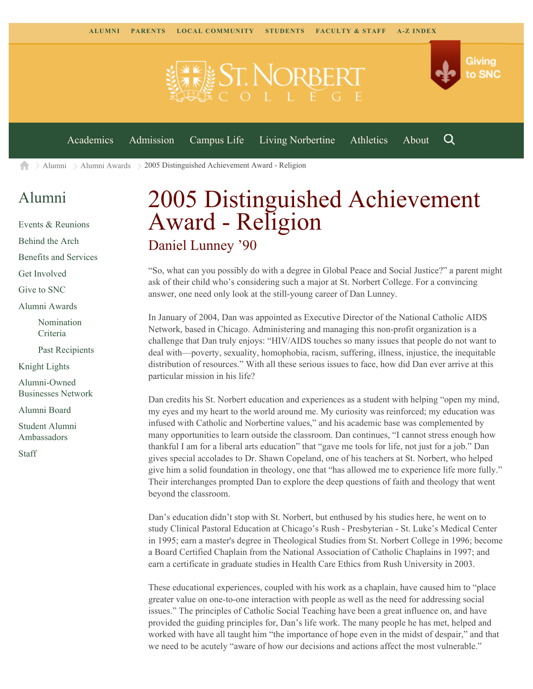

[Alumni](https://www.snc.edu/alumni/) [Alumni Awards](https://www.snc.edu/alumni/awards/) 2005 Distinguished Achievement Award - Religion A

## [Alumni](https://www.snc.edu/alumni/index.html)

[Events & Reunions](https://www.snc.edu/alumni/event/index.html) [Behind the Arch](https://www.snc.edu/alumni/event/behindthearch/) [Benefits and Services](https://www.snc.edu/alumni/benefits.html) [Get Involved](https://www.snc.edu/alumni/getinvolved.html) [Give to SNC](http://giving.snc.edu/) [Alumni Awards](https://www.snc.edu/alumni/awards/index.html) [Nomination](https://www.snc.edu/alumni/awards/criteria.html) [Criteria](https://www.snc.edu/alumni/awards/criteria.html) [Past Recipients](https://www.snc.edu/alumni/awards/recipients.html) [Knight Lights](https://www.snc.edu/alumni/knightlights/index.html) [Alumni-Owned](https://www.snc.edu/alumni/directory/index.html) [Businesses Network](https://www.snc.edu/alumni/directory/index.html) [Alumni Board](https://www.snc.edu/alumni/alumniboard.html) [Student Alumni](https://www.snc.edu/alumni/saa.html)

[Ambassadors](https://www.snc.edu/alumni/saa.html)

[Staff](https://www.snc.edu/alumni/contactus.html)

## 2005 Distinguished Achievement Award - Religion Daniel Lunney '90

"So, what can you possibly do with a degree in Global Peace and Social Justice?" a parent might ask of their child who's considering such a major at St. Norbert College. For a convincing answer, one need only look at the still-young career of Dan Lunney.

In January of 2004, Dan was appointed as Executive Director of the National Catholic AIDS Network, based in Chicago. Administering and managing this non-profit organization is a challenge that Dan truly enjoys: "HIV/AIDS touches so many issues that people do not want to deal with—poverty, sexuality, homophobia, racism, suffering, illness, injustice, the inequitable distribution of resources." With all these serious issues to face, how did Dan ever arrive at this particular mission in his life?

Dan credits his St. Norbert education and experiences as a student with helping "open my mind, my eyes and my heart to the world around me. My curiosity was reinforced; my education was infused with Catholic and Norbertine values," and his academic base was complemented by many opportunities to learn outside the classroom. Dan continues, "I cannot stress enough how thankful I am for a liberal arts education" that "gave me tools for life, not just for a job." Dan gives special accolades to Dr. Shawn Copeland, one of his teachers at St. Norbert, who helped give him a solid foundation in theology, one that "has allowed me to experience life more fully." Their interchanges prompted Dan to explore the deep questions of faith and theology that went beyond the classroom.

Dan's education didn't stop with St. Norbert, but enthused by his studies here, he went on to study Clinical Pastoral Education at Chicago's Rush - Presbyterian - St. Luke's Medical Center in 1995; earn a master's degree in Theological Studies from St. Norbert College in 1996; become a Board Certified Chaplain from the National Association of Catholic Chaplains in 1997; and earn a certificate in graduate studies in Health Care Ethics from Rush University in 2003.

These educational experiences, coupled with his work as a chaplain, have caused him to "place greater value on one-to-one interaction with people as well as the need for addressing social issues." The principles of Catholic Social Teaching have been a great influence on, and have provided the guiding principles for, Dan's life work. The many people he has met, helped and worked with have all taught him "the importance of hope even in the midst of despair," and that we need to be acutely "aware of how our decisions and actions affect the most vulnerable."